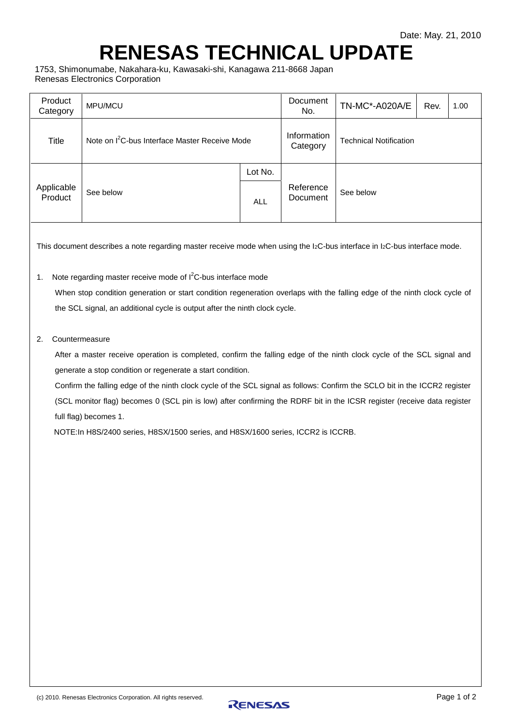## **RENESAS TECHNICAL UPDATE**

1753, Shimonumabe, Nakahara-ku, Kawasaki-shi, Kanagawa 211-8668 Japan Renesas Electronics Corporation

| Product<br>Category   | MPU/MCU                                                    |            | Document<br>No.         | TN-MC*-A020A/E                | Rev. | 1.00 |
|-----------------------|------------------------------------------------------------|------------|-------------------------|-------------------------------|------|------|
| Title                 | Note on I <sup>2</sup> C-bus Interface Master Receive Mode |            | Information<br>Category | <b>Technical Notification</b> |      |      |
| Applicable<br>Product | See below                                                  | Lot No.    |                         |                               |      |      |
|                       |                                                            | <b>ALL</b> | Reference<br>Document   | See below                     |      |      |

This document describes a note regarding master receive mode when using the I<sub>2</sub>C-bus interface in I<sub>2</sub>C-bus interface mode.

## 1. Note regarding master receive mode of  $I<sup>2</sup>C$ -bus interface mode

 When stop condition generation or start condition regeneration overlaps with the falling edge of the ninth clock cycle of the SCL signal, an additional cycle is output after the ninth clock cycle.

## 2. Countermeasure

After a master receive operation is completed, confirm the falling edge of the ninth clock cycle of the SCL signal and generate a stop condition or regenerate a start condition.

Confirm the falling edge of the ninth clock cycle of the SCL signal as follows: Confirm the SCLO bit in the ICCR2 register (SCL monitor flag) becomes 0 (SCL pin is low) after confirming the RDRF bit in the ICSR register (receive data register full flag) becomes 1.

NOTE:In H8S/2400 series, H8SX/1500 series, and H8SX/1600 series, ICCR2 is ICCRB.